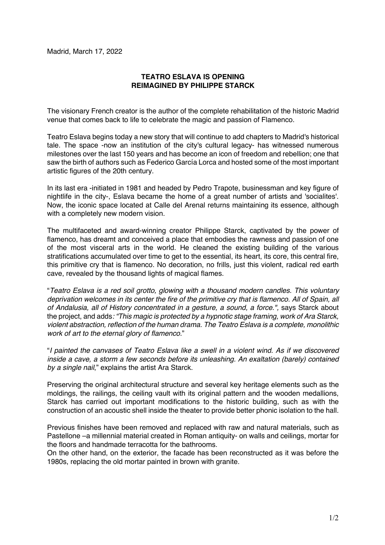## **TEATRO ESLAVA IS OPENING REIMAGINED BY PHILIPPE STARCK**

The visionary French creator is the author of the complete rehabilitation of the historic Madrid venue that comes back to life to celebrate the magic and passion of Flamenco.

Teatro Eslava begins today a new story that will continue to add chapters to Madrid's historical tale. The space -now an institution of the city's cultural legacy- has witnessed numerous milestones over the last 150 years and has become an icon of freedom and rebellion; one that saw the birth of authors such as Federico García Lorca and hosted some of the most important artistic figures of the 20th century.

In its last era -initiated in 1981 and headed by Pedro Trapote, businessman and key figure of nightlife in the city-, Eslava became the home of a great number of artists and 'socialites'. Now, the iconic space located at Calle del Arenal returns maintaining its essence, although with a completely new modern vision.

The multifaceted and award-winning creator Philippe Starck, captivated by the power of flamenco, has dreamt and conceived a place that embodies the rawness and passion of one of the most visceral arts in the world. He cleaned the existing building of the various stratifications accumulated over time to get to the essential, its heart, its core, this central fire, this primitive cry that is flamenco. No decoration, no frills, just this violent, radical red earth cave, revealed by the thousand lights of magical flames.

"*Teatro Eslava is a red soil grotto, glowing with a thousand modern candles. This voluntary deprivation welcomes in its center the fire of the primitive cry that is flamenco. All of Spain, all of Andalusia, all of History concentrated in a gesture, a sound, a force.",* says Starck about the project, and adds*: "This magic is protected by a hypnotic stage framing, work of Ara Starck, violent abstraction, reflection of the human drama. The Teatro Eslava is a complete, monolithic work of art to the eternal glory of flamenco.*"

"*I painted the canvases of Teatro Eslava like a swell in a violent wind. As if we discovered inside a cave, a storm a few seconds before its unleashing. An exaltation (barely) contained by a single nail*," explains the artist Ara Starck.

Preserving the original architectural structure and several key heritage elements such as the moldings, the railings, the ceiling vault with its original pattern and the wooden medallions, Starck has carried out important modifications to the historic building, such as with the construction of an acoustic shell inside the theater to provide better phonic isolation to the hall.

Previous finishes have been removed and replaced with raw and natural materials, such as Pastellone –a millennial material created in Roman antiquity- on walls and ceilings, mortar for the floors and handmade terracotta for the bathrooms.

On the other hand, on the exterior, the facade has been reconstructed as it was before the 1980s, replacing the old mortar painted in brown with granite.